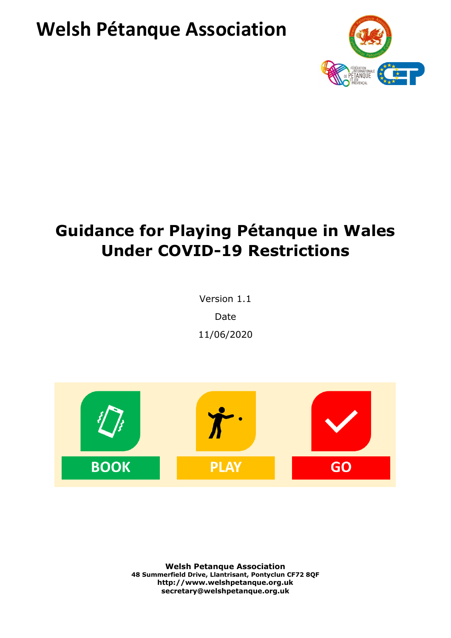# **Welsh Pétanque Association**



# **Guidance for Playing Pétanque in Wales Under COVID-19 Restrictions**

Version 1.1 Date 11/06/2020



**Welsh Petanque Association 48 Summerfield Drive, Llantrisant, Pontyclun CF72 8QF http://www.welshpetanque.org.uk secretary@welshpetanque.org.uk**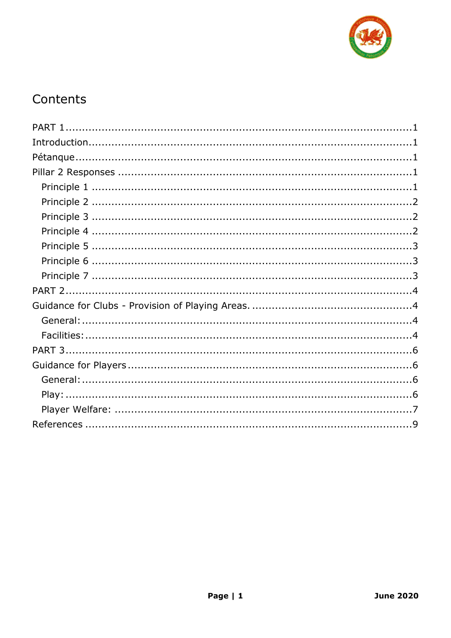

# Contents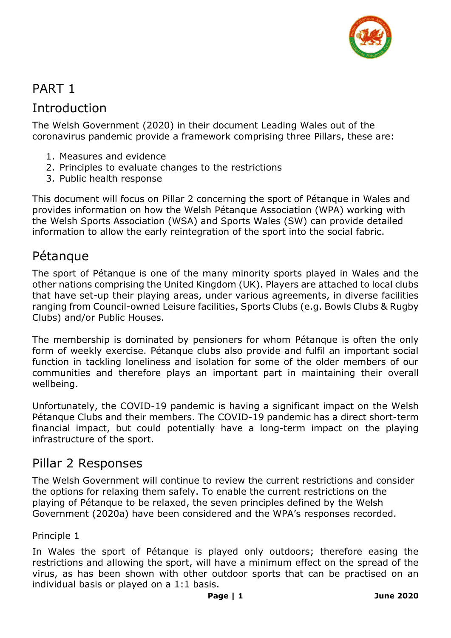

## <span id="page-2-0"></span>PART 1

### <span id="page-2-1"></span>Introduction

The Welsh Government (2020) in their document Leading Wales out of the coronavirus pandemic provide a framework comprising three Pillars, these are:

- 1. Measures and evidence
- 2. Principles to evaluate changes to the restrictions
- 3. Public health response

This document will focus on Pillar 2 concerning the sport of Pétanque in Wales and provides information on how the Welsh Pétanque Association (WPA) working with the Welsh Sports Association (WSA) and Sports Wales (SW) can provide detailed information to allow the early reintegration of the sport into the social fabric.

### <span id="page-2-2"></span>Pétanque

The sport of Pétanque is one of the many minority sports played in Wales and the other nations comprising the United Kingdom (UK). Players are attached to local clubs that have set-up their playing areas, under various agreements, in diverse facilities ranging from Council-owned Leisure facilities, Sports Clubs (e.g. Bowls Clubs & Rugby Clubs) and/or Public Houses.

The membership is dominated by pensioners for whom Pétanque is often the only form of weekly exercise. Pétanque clubs also provide and fulfil an important social function in tackling loneliness and isolation for some of the older members of our communities and therefore plays an important part in maintaining their overall wellbeing.

Unfortunately, the COVID-19 pandemic is having a significant impact on the Welsh Pétanque Clubs and their members. The COVID-19 pandemic has a direct short-term financial impact, but could potentially have a long-term impact on the playing infrastructure of the sport.

### <span id="page-2-3"></span>Pillar 2 Responses

The Welsh Government will continue to review the current restrictions and consider the options for relaxing them safely. To enable the current restrictions on the playing of Pétanque to be relaxed, the seven principles defined by the Welsh Government (2020a) have been considered and the WPA's responses recorded.

#### <span id="page-2-4"></span>Principle 1

In Wales the sport of Pétanque is played only outdoors; therefore easing the restrictions and allowing the sport, will have a minimum effect on the spread of the virus, as has been shown with other outdoor sports that can be practised on an individual basis or played on a 1:1 basis.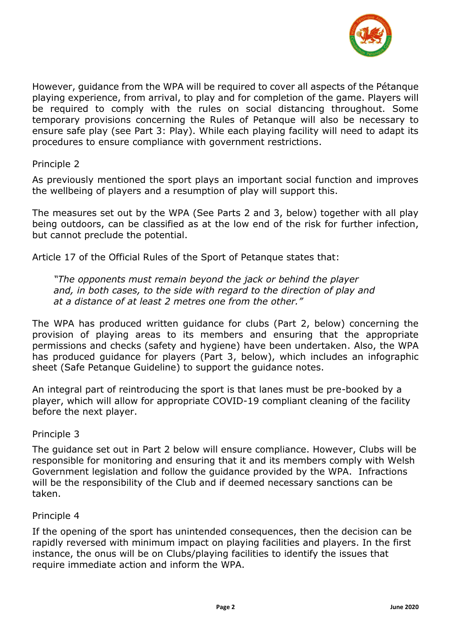

However, guidance from the WPA will be required to cover all aspects of the Pétanque playing experience, from arrival, to play and for completion of the game. Players will be required to comply with the rules on social distancing throughout. Some temporary provisions concerning the Rules of Petanque will also be necessary to ensure safe play (see Part 3: Play). While each playing facility will need to adapt its procedures to ensure compliance with government restrictions.

#### <span id="page-3-0"></span>Principle 2

As previously mentioned the sport plays an important social function and improves the wellbeing of players and a resumption of play will support this.

The measures set out by the WPA (See Parts 2 and 3, below) together with all play being outdoors, can be classified as at the low end of the risk for further infection, but cannot preclude the potential.

Article 17 of the Official Rules of the Sport of Petanque states that:

*"The opponents must remain beyond the jack or behind the player and, in both cases, to the side with regard to the direction of play and at a distance of at least 2 metres one from the other."*

The WPA has produced written guidance for clubs (Part 2, below) concerning the provision of playing areas to its members and ensuring that the appropriate permissions and checks (safety and hygiene) have been undertaken. Also, the WPA has produced guidance for players (Part 3, below), which includes an infographic sheet (Safe Petanque Guideline) to support the guidance notes.

An integral part of reintroducing the sport is that lanes must be pre-booked by a player, which will allow for appropriate COVID-19 compliant cleaning of the facility before the next player.

#### <span id="page-3-1"></span>Principle 3

The guidance set out in Part 2 below will ensure compliance. However, Clubs will be responsible for monitoring and ensuring that it and its members comply with Welsh Government legislation and follow the guidance provided by the WPA. Infractions will be the responsibility of the Club and if deemed necessary sanctions can be taken.

#### <span id="page-3-2"></span>Principle 4

If the opening of the sport has unintended consequences, then the decision can be rapidly reversed with minimum impact on playing facilities and players. In the first instance, the onus will be on Clubs/playing facilities to identify the issues that require immediate action and inform the WPA.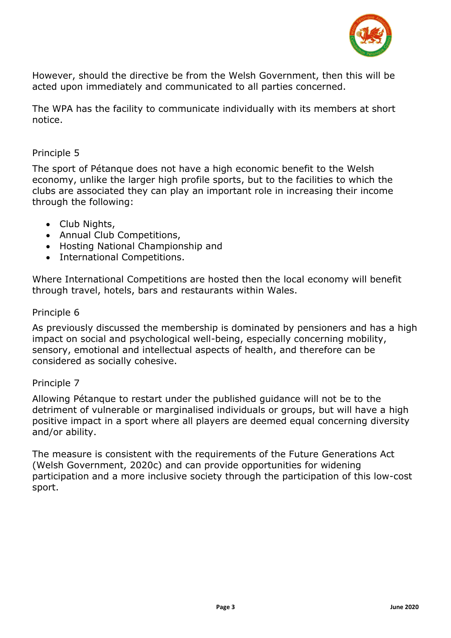

However, should the directive be from the Welsh Government, then this will be acted upon immediately and communicated to all parties concerned.

The WPA has the facility to communicate individually with its members at short notice.

#### <span id="page-4-0"></span>Principle 5

The sport of Pétanque does not have a high economic benefit to the Welsh economy, unlike the larger high profile sports, but to the facilities to which the clubs are associated they can play an important role in increasing their income through the following:

- Club Nights,
- Annual Club Competitions,
- Hosting National Championship and
- International Competitions.

Where International Competitions are hosted then the local economy will benefit through travel, hotels, bars and restaurants within Wales.

#### <span id="page-4-1"></span>Principle 6

As previously discussed the membership is dominated by pensioners and has a high impact on social and psychological well-being, especially concerning mobility, sensory, emotional and intellectual aspects of health, and therefore can be considered as socially cohesive.

#### <span id="page-4-2"></span>Principle 7

Allowing Pétanque to restart under the published guidance will not be to the detriment of vulnerable or marginalised individuals or groups, but will have a high positive impact in a sport where all players are deemed equal concerning diversity and/or ability.

The measure is consistent with the requirements of the Future Generations Act (Welsh Government, 2020c) and can provide opportunities for widening participation and a more inclusive society through the participation of this low-cost sport.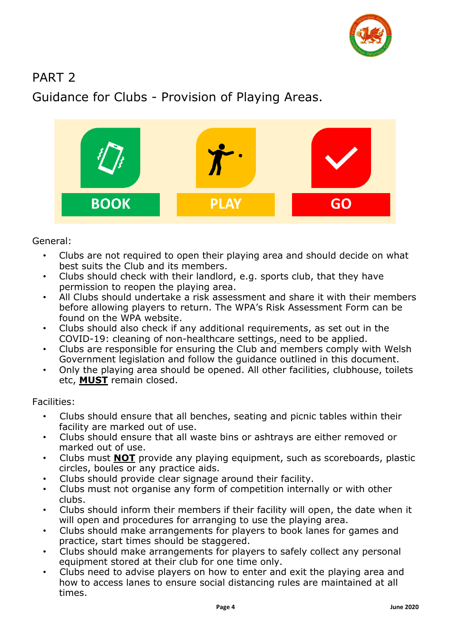

## <span id="page-5-0"></span>PART 2

<span id="page-5-1"></span>Guidance for Clubs - Provision of Playing Areas.



<span id="page-5-2"></span>General:

- Clubs are not required to open their playing area and should decide on what best suits the Club and its members.
- Clubs should check with their landlord, e.g. sports club, that they have permission to reopen the playing area.
- All Clubs should undertake a risk assessment and share it with their members before allowing players to return. The WPA's Risk Assessment Form can be found on the WPA website.
- Clubs should also check if any additional requirements, as set out in the COVID-19: cleaning of non-healthcare settings, need to be applied.
- Clubs are responsible for ensuring the Club and members comply with Welsh Government legislation and follow the guidance outlined in this document.
- Only the playing area should be opened. All other facilities, clubhouse, toilets etc, **MUST** remain closed.

<span id="page-5-3"></span>Facilities:

- Clubs should ensure that all benches, seating and picnic tables within their facility are marked out of use.
- Clubs should ensure that all waste bins or ashtrays are either removed or marked out of use.
- Clubs must **NOT** provide any playing equipment, such as scoreboards, plastic circles, boules or any practice aids.
- Clubs should provide clear signage around their facility.
- Clubs must not organise any form of competition internally or with other clubs.
- Clubs should inform their members if their facility will open, the date when it will open and procedures for arranging to use the playing area.
- Clubs should make arrangements for players to book lanes for games and practice, start times should be staggered.
- Clubs should make arrangements for players to safely collect any personal equipment stored at their club for one time only.
- Clubs need to advise players on how to enter and exit the playing area and how to access lanes to ensure social distancing rules are maintained at all times.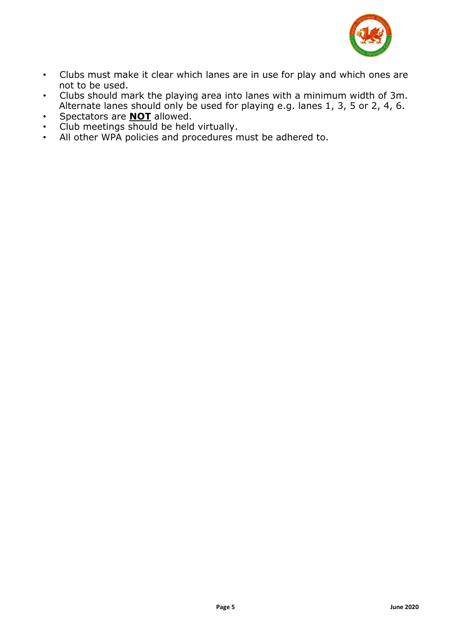

- Clubs must make it clear which lanes are in use for play and which ones are not to be used.
- Clubs should mark the playing area into lanes with a minimum width of 3m. Alternate lanes should only be used for playing e.g. lanes 1, 3, 5 or 2, 4, 6.
- Spectators are **NOT** allowed.
- Club meetings should be held virtually.
- All other WPA policies and procedures must be adhered to.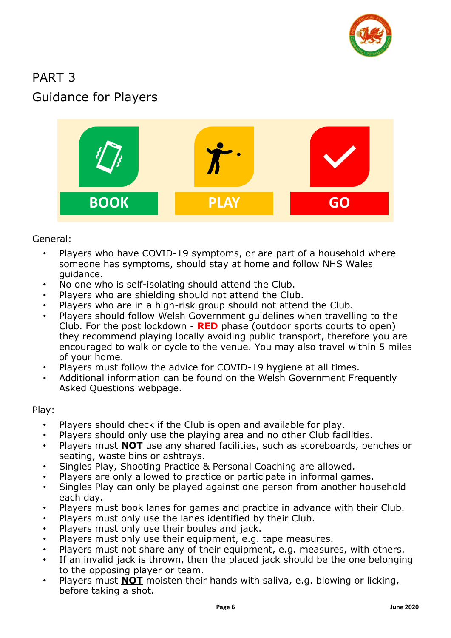

# <span id="page-7-1"></span><span id="page-7-0"></span>PART 3 Guidance for Players



<span id="page-7-2"></span>General:

- Players who have COVID-19 symptoms, or are part of a household where someone has symptoms, should stay at home and follow NHS Wales guidance.
- No one who is self-isolating should attend the Club.
- Players who are shielding should not attend the Club.
- Players who are in a high-risk group should not attend the Club.
- Players should follow Welsh Government guidelines when travelling to the Club. For the post lockdown - **RED** phase (outdoor sports courts to open) they recommend playing locally avoiding public transport, therefore you are encouraged to walk or cycle to the venue. You may also travel within 5 miles of your home.
- Players must follow the advice for COVID-19 hygiene at all times.
- Additional information can be found on the Welsh Government Frequently Asked Questions webpage.

<span id="page-7-3"></span>Play:

- Players should check if the Club is open and available for play.
- Players should only use the playing area and no other Club facilities.
- Players must **NOT** use any shared facilities, such as scoreboards, benches or seating, waste bins or ashtrays.
- Singles Play, Shooting Practice & Personal Coaching are allowed.
- Players are only allowed to practice or participate in informal games.
- Singles Play can only be played against one person from another household each day.
- Players must book lanes for games and practice in advance with their Club.
- Players must only use the lanes identified by their Club.
- Players must only use their boules and jack.
- Players must only use their equipment, e.g. tape measures.
- Players must not share any of their equipment, e.g. measures, with others.
- If an invalid jack is thrown, then the placed jack should be the one belonging to the opposing player or team.
- Players must **NOT** moisten their hands with saliva, e.g. blowing or licking, before taking a shot.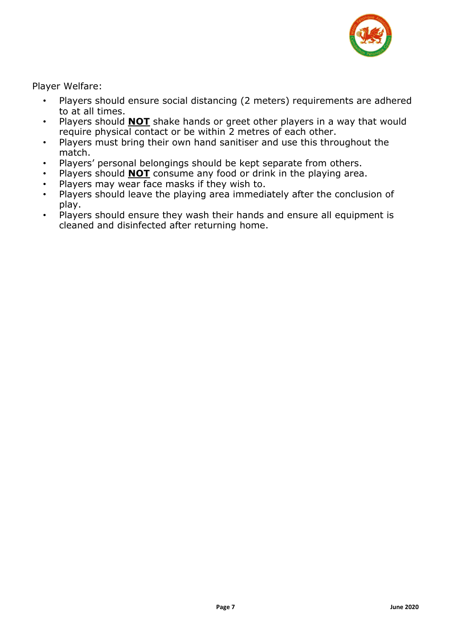

<span id="page-8-0"></span>Player Welfare:

- Players should ensure social distancing (2 meters) requirements are adhered to at all times.
- Players should **NOT** shake hands or greet other players in a way that would require physical contact or be within 2 metres of each other.
- Players must bring their own hand sanitiser and use this throughout the match.
- Players' personal belongings should be kept separate from others.
- Players should **NOT** consume any food or drink in the playing area.
- Players may wear face masks if they wish to.
- Players should leave the playing area immediately after the conclusion of play.
- Players should ensure they wash their hands and ensure all equipment is cleaned and disinfected after returning home.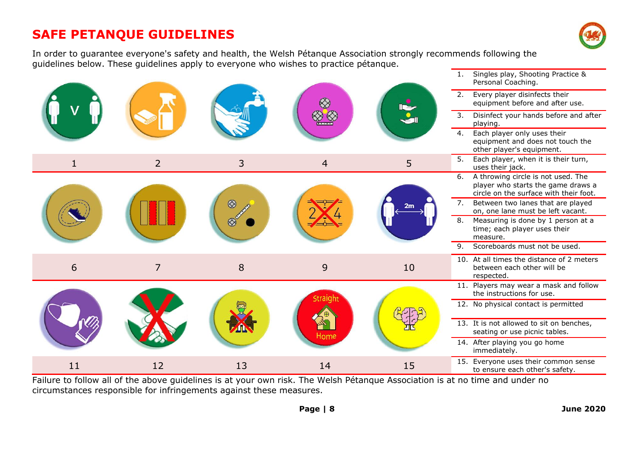## **SAFE PETANQUE GUIDELINES**



In order to guarantee everyone's safety and health, the Welsh Pétanque Association strongly recommends following the guidelines below. These guidelines apply to everyone who wishes to practice pétanque.

|    |                |    | ▧               | $\sum_{i=1}^{\infty}$ | Singles play, Shooting Practice &<br>1.<br>Personal Coaching.                                                            |
|----|----------------|----|-----------------|-----------------------|--------------------------------------------------------------------------------------------------------------------------|
|    |                |    |                 |                       | 2.<br>Every player disinfects their<br>equipment before and after use.                                                   |
|    |                |    |                 |                       | 3.<br>Disinfect your hands before and after<br>playing.                                                                  |
|    |                |    |                 |                       | Each player only uses their<br>4.<br>equipment and does not touch the<br>other player's equipment.                       |
| 1  | $\overline{2}$ | 3  | $\overline{4}$  | 5                     | Each player, when it is their turn,<br>5.<br>uses their jack.                                                            |
|    |                |    |                 | 2m                    | A throwing circle is not used. The<br>6.<br>player who starts the game draws a<br>circle on the surface with their foot. |
|    |                |    |                 |                       | Between two lanes that are played<br>7.<br>on, one lane must be left vacant.                                             |
|    |                |    |                 |                       | 8.<br>Measuring is done by 1 person at a<br>time; each player uses their<br>measure.                                     |
|    |                |    |                 |                       | Scoreboards must not be used.<br>9.                                                                                      |
| 6  | $\overline{7}$ | 8  | 9               | 10                    | 10. At all times the distance of 2 meters<br>between each other will be<br>respected.                                    |
|    |                |    | Straigh<br>Home |                       | 11. Players may wear a mask and follow<br>the instructions for use.                                                      |
|    |                |    |                 |                       | 12. No physical contact is permitted                                                                                     |
|    |                |    |                 |                       | 13. It is not allowed to sit on benches,<br>seating or use picnic tables.                                                |
|    |                |    |                 |                       | 14. After playing you go home<br>immediately.                                                                            |
| 11 | 12             | 13 | 14              | 15                    | 15. Everyone uses their common sense<br>to ensure each other's safety.                                                   |

Failure to follow all of the above guidelines is at your own risk. The Welsh Pétanque Association is at no time and under no circumstances responsible for infringements against these measures.